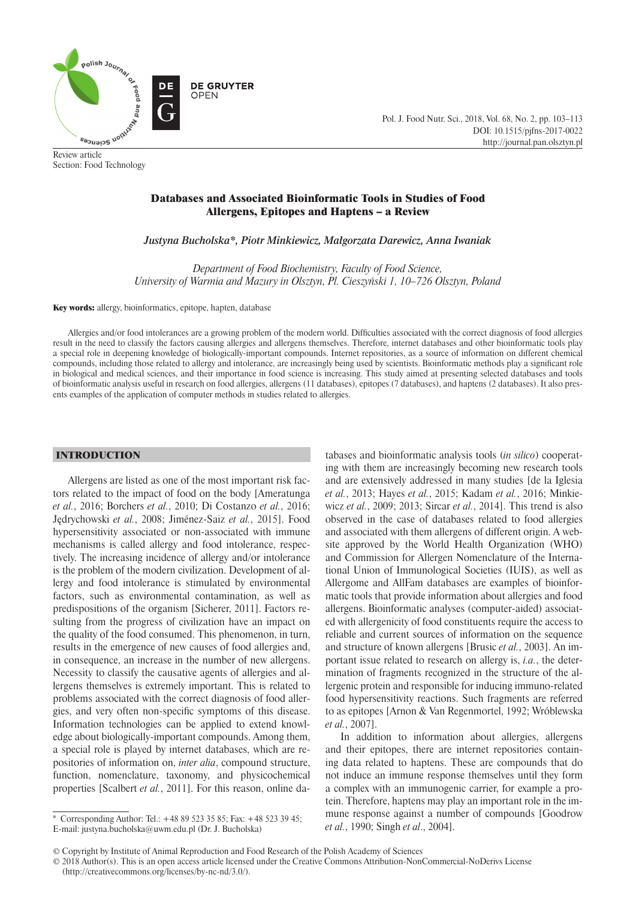

Review article Section: Food Technology Pol. J. Food Nutr. Sci., 2018, Vol. 68, No. 2, pp. 103–113 DOI: 10.1515/pjfns-2017-0022 http://journal.pan.olsztyn.pl

# Databases and Associated Bioinformatic Tools in Studies of Food Allergens, Epitopes and Haptens – a Review

*Justyna Bucholska\*, Piotr Minkiewicz, Małgorzata Darewicz, Anna Iwaniak*

*Department of Food Biochemistry, Faculty of Food Science, University of Warmia and Mazury in Olsztyn, Pl. Cieszyński 1, 10–726 Olsztyn, Poland*

Key words: allergy, bioinformatics, epitope, hapten, database

Allergies and/or food intolerances are a growing problem of the modern world. Difficulties associated with the correct diagnosis of food allergies result in the need to classify the factors causing allergies and allergens themselves. Therefore, internet databases and other bioinformatic tools play a special role in deepening knowledge of biologically-important compounds. Internet repositories, as a source of information on different chemical compounds, including those related to allergy and intolerance, are increasingly being used by scientists. Bioinformatic methods play a significant role in biological and medical sciences, and their importance in food science is increasing. This study aimed at presenting selected databases and tools of bioinformatic analysis useful in research on food allergies, allergens (11 databases), epitopes (7 databases), and haptens (2 databases). It also presents examples of the application of computer methods in studies related to allergies.

## INTRODUCTION

Allergens are listed as one of the most important risk factors related to the impact of food on the body [Ameratunga *et al.*, 2016; Borchers *et al.*, 2010; Di Costanzo *et al.*, 2016; Jędrychowski *et al.*, 2008; Jiménez-Saiz *et al.*, 2015]. Food hypersensitivity associated or non-associated with immune mechanisms is called allergy and food intolerance, respectively. The increasing incidence of allergy and/or intolerance is the problem of the modern civilization. Development of allergy and food intolerance is stimulated by environmental factors, such as environmental contamination, as well as predispositions of the organism [Sicherer, 2011]. Factors resulting from the progress of civilization have an impact on the quality of the food consumed. This phenomenon, in turn, results in the emergence of new causes of food allergies and, in consequence, an increase in the number of new allergens. Necessity to classify the causative agents of allergies and allergens themselves is extremely important. This is related to problems associated with the correct diagnosis of food allergies, and very often non-specific symptoms of this disease. Information technologies can be applied to extend knowledge about biologically-important compounds. Among them, a special role is played by internet databases, which are repositories of information on, *inter alia*, compound structure, function, nomenclature, taxonomy, and physicochemical properties [Scalbert *et al.*, 2011]. For this reason, online da-

tabases and bioinformatic analysis tools (*in silico*) cooperating with them are increasingly becoming new research tools and are extensively addressed in many studies [de la Iglesia *et al.*, 2013; Hayes *et al.*, 2015; Kadam *et al.*, 2016; Minkiewicz *et al.*, 2009; 2013; Sircar *et al.*, 2014]. This trend is also observed in the case of databases related to food allergies and associated with them allergens of different origin. A website approved by the World Health Organization (WHO) and Commission for Allergen Nomenclature of the International Union of Immunological Societies (IUIS), as well as Allergome and AllFam databases are examples of bioinformatic tools that provide information about allergies and food allergens. Bioinformatic analyses (computer-aided) associated with allergenicity of food constituents require the access to reliable and current sources of information on the sequence and structure of known allergens [Brusic *et al.*, 2003]. An important issue related to research on allergy is, *i.a.*, the determination of fragments recognized in the structure of the allergenic protein and responsible for inducing immuno-related food hypersensitivity reactions. Such fragments are referred to as epitopes [Arnon & Van Regenmortel, 1992; Wróblewska *et al.*, 2007].

In addition to information about allergies, allergens and their epitopes, there are internet repositories containing data related to haptens. These are compounds that do not induce an immune response themselves until they form a complex with an immunogenic carrier, for example a protein. Therefore, haptens may play an important role in the immune response against a number of compounds [Goodrow *et al.*, 1990; Singh *et al*., 2004].

<sup>\*</sup> Corresponding Author: Tel.: +48 89 523 35 85; Fax: +48 523 39 45; E-mail: justyna.bucholska@uwm.edu.pl (Dr. J. Bucholska)

<sup>©</sup> Copyright by Institute of Animal Reproduction and Food Research of the Polish Academy of Sciences

<sup>© 2018</sup> Author(s). This is an open access article licensed under the Creative Commons Attribution-NonCommercial-NoDerivs License (http://creativecommons.org/licenses/by-nc-nd/3.0/).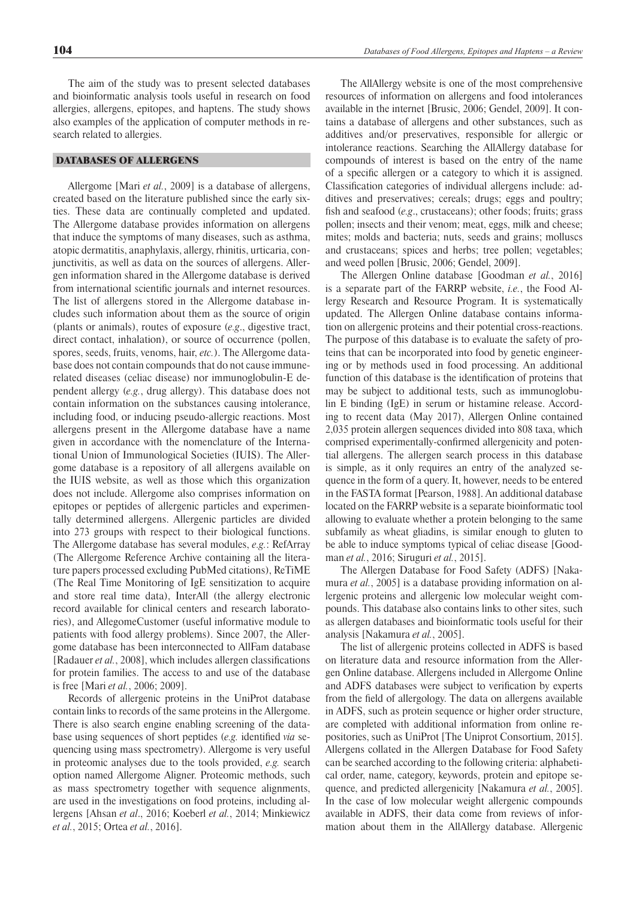The aim of the study was to present selected databases and bioinformatic analysis tools useful in research on food allergies, allergens, epitopes, and haptens. The study shows also examples of the application of computer methods in research related to allergies.

## DATABASES OF ALLERGENS

Allergome [Mari *et al.*, 2009] is a database of allergens, created based on the literature published since the early sixties. These data are continually completed and updated. The Allergome database provides information on allergens that induce the symptoms of many diseases, such as asthma, atopic dermatitis, anaphylaxis, allergy, rhinitis, urticaria, conjunctivitis, as well as data on the sources of allergens. Allergen information shared in the Allergome database is derived from international scientific journals and internet resources. The list of allergens stored in the Allergome database includes such information about them as the source of origin (plants or animals), routes of exposure (*e.g*., digestive tract, direct contact, inhalation), or source of occurrence (pollen, spores, seeds, fruits, venoms, hair, *etc.*). The Allergome database does not contain compounds that do not cause immunerelated diseases (celiac disease) nor immunoglobulin-E dependent allergy (*e.g.*, drug allergy). This database does not contain information on the substances causing intolerance, including food, or inducing pseudo-allergic reactions. Most allergens present in the Allergome database have a name given in accordance with the nomenclature of the International Union of Immunological Societies (IUIS). The Allergome database is a repository of all allergens available on the IUIS website, as well as those which this organization does not include. Allergome also comprises information on epitopes or peptides of allergenic particles and experimentally determined allergens. Allergenic particles are divided into 273 groups with respect to their biological functions. The Allergome database has several modules, *e.g.*: RefArray (The Allergome Reference Archive containing all the literature papers processed excluding PubMed citations), ReTiME (The Real Time Monitoring of IgE sensitization to acquire and store real time data), InterAll (the allergy electronic record available for clinical centers and research laboratories), and AllegomeCustomer (useful informative module to patients with food allergy problems). Since 2007, the Allergome database has been interconnected to AllFam database [Radauer *et al.*, 2008], which includes allergen classifications for protein families. The access to and use of the database is free [Mari *et al.*, 2006; 2009].

Records of allergenic proteins in the UniProt database contain links to records of the same proteins in the Allergome. There is also search engine enabling screening of the database using sequences of short peptides (*e.g.* identified *via* sequencing using mass spectrometry). Allergome is very useful in proteomic analyses due to the tools provided, *e.g.* search option named Allergome Aligner. Proteomic methods, such as mass spectrometry together with sequence alignments, are used in the investigations on food proteins, including allergens [Ahsan *et al*., 2016; Koeberl *et al.*, 2014; Minkiewicz *et al.*, 2015; Ortea *et al.*, 2016].

The AllAllergy website is one of the most comprehensive resources of information on allergens and food intolerances available in the internet [Brusic, 2006; Gendel, 2009]. It contains a database of allergens and other substances, such as additives and/or preservatives, responsible for allergic or intolerance reactions. Searching the AllAllergy database for compounds of interest is based on the entry of the name of a specific allergen or a category to which it is assigned. Classification categories of individual allergens include: additives and preservatives; cereals; drugs; eggs and poultry; fish and seafood (*e.g.*, crustaceans); other foods; fruits; grass pollen; insects and their venom; meat, eggs, milk and cheese; mites; molds and bacteria; nuts, seeds and grains; molluscs and crustaceans; spices and herbs; tree pollen; vegetables; and weed pollen [Brusic, 2006; Gendel, 2009].

The Allergen Online database [Goodman *et al.*, 2016] is a separate part of the FARRP website, *i.e.*, the Food Allergy Research and Resource Program. It is systematically updated. The Allergen Online database contains information on allergenic proteins and their potential cross-reactions. The purpose of this database is to evaluate the safety of proteins that can be incorporated into food by genetic engineering or by methods used in food processing. An additional function of this database is the identification of proteins that may be subject to additional tests, such as immunoglobulin E binding (IgE) in serum or histamine release. According to recent data (May 2017), Allergen Online contained 2,035 protein allergen sequences divided into 808 taxa, which comprised experimentally-confirmed allergenicity and potential allergens. The allergen search process in this database is simple, as it only requires an entry of the analyzed sequence in the form of a query. It, however, needs to be entered in the FASTA format [Pearson, 1988]. An additional database located on the FARRP website is a separate bioinformatic tool allowing to evaluate whether a protein belonging to the same subfamily as wheat gliadins, is similar enough to gluten to be able to induce symptoms typical of celiac disease [Goodman *et al.*, 2016; Siruguri *et al.*, 2015].

The Allergen Database for Food Safety (ADFS) [Nakamura *et al.*, 2005] is a database providing information on allergenic proteins and allergenic low molecular weight compounds. This database also contains links to other sites, such as allergen databases and bioinformatic tools useful for their analysis [Nakamura *et al.*, 2005].

The list of allergenic proteins collected in ADFS is based on literature data and resource information from the Allergen Online database. Allergens included in Allergome Online and ADFS databases were subject to verification by experts from the field of allergology. The data on allergens available in ADFS, such as protein sequence or higher order structure, are completed with additional information from online repositories, such as UniProt [The Uniprot Consortium, 2015]. Allergens collated in the Allergen Database for Food Safety can be searched according to the following criteria: alphabetical order, name, category, keywords, protein and epitope sequence, and predicted allergenicity [Nakamura *et al.*, 2005]. In the case of low molecular weight allergenic compounds available in ADFS, their data come from reviews of information about them in the AllAllergy database. Allergenic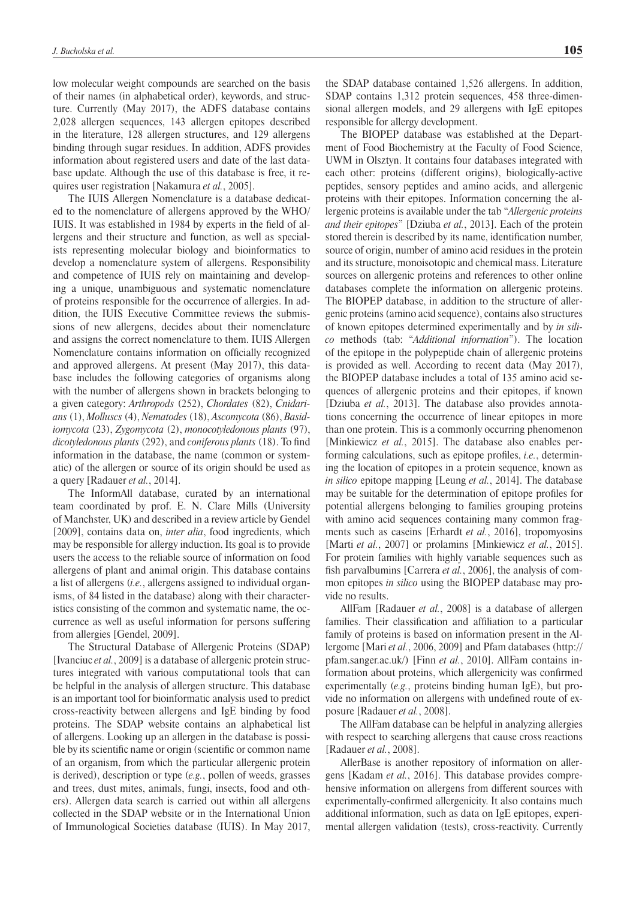low molecular weight compounds are searched on the basis of their names (in alphabetical order), keywords, and structure. Currently (May 2017), the ADFS database contains 2,028 allergen sequences, 143 allergen epitopes described in the literature, 128 allergen structures, and 129 allergens binding through sugar residues. In addition, ADFS provides information about registered users and date of the last database update. Although the use of this database is free, it requires user registration [Nakamura *et al.*, 2005].

The IUIS Allergen Nomenclature is a database dedicated to the nomenclature of allergens approved by the WHO/ IUIS. It was established in 1984 by experts in the field of allergens and their structure and function, as well as specialists representing molecular biology and bioinformatics to develop a nomenclature system of allergens. Responsibility and competence of IUIS rely on maintaining and developing a unique, unambiguous and systematic nomenclature of proteins responsible for the occurrence of allergies. In addition, the IUIS Executive Committee reviews the submissions of new allergens, decides about their nomenclature and assigns the correct nomenclature to them. IUIS Allergen Nomenclature contains information on officially recognized and approved allergens. At present (May 2017), this database includes the following categories of organisms along with the number of allergens shown in brackets belonging to a given category: *Arthropods* (252), *Chordates* (82), *Cnidarians* (1), *Molluscs* (4), *Nematodes* (18), *Ascomycota* (86), *Basidiomycota* (23), *Zygomycota* (2), *monocotyledonous plants* (97), *dicotyledonous plants* (292), and *coniferous plants* (18). To find information in the database, the name (common or systematic) of the allergen or source of its origin should be used as a query [Radauer *et al.*, 2014].

The InformAll database, curated by an international team coordinated by prof. E. N. Clare Mills (University of Manchster, UK) and described in a review article by Gendel [2009], contains data on, *inter alia*, food ingredients, which may be responsible for allergy induction. Its goal is to provide users the access to the reliable source of information on food allergens of plant and animal origin. This database contains a list of allergens (*i.e.*, allergens assigned to individual organisms, of 84 listed in the database) along with their characteristics consisting of the common and systematic name, the occurrence as well as useful information for persons suffering from allergies [Gendel, 2009].

The Structural Database of Allergenic Proteins (SDAP) [Ivanciuc *et al.*, 2009] is a database of allergenic protein structures integrated with various computational tools that can be helpful in the analysis of allergen structure. This database is an important tool for bioinformatic analysis used to predict cross-reactivity between allergens and IgE binding by food proteins. The SDAP website contains an alphabetical list of allergens. Looking up an allergen in the database is possible by its scientific name or origin (scientific or common name of an organism, from which the particular allergenic protein is derived), description or type (*e.g.*, pollen of weeds, grasses and trees, dust mites, animals, fungi, insects, food and others). Allergen data search is carried out within all allergens collected in the SDAP website or in the International Union of Immunological Societies database (IUIS). In May 2017,

the SDAP database contained 1,526 allergens. In addition, SDAP contains 1,312 protein sequences, 458 three-dimensional allergen models, and 29 allergens with IgE epitopes responsible for allergy development.

The BIOPEP database was established at the Department of Food Biochemistry at the Faculty of Food Science, UWM in Olsztyn. It contains four databases integrated with each other: proteins (different origins), biologically-active peptides, sensory peptides and amino acids, and allergenic proteins with their epitopes. Information concerning the allergenic proteins is available under the tab "*Allergenic proteins and their epitopes*" [Dziuba *et al.*, 2013]. Each of the protein stored therein is described by its name, identification number, source of origin, number of amino acid residues in the protein and its structure, monoisotopic and chemical mass. Literature sources on allergenic proteins and references to other online databases complete the information on allergenic proteins. The BIOPEP database, in addition to the structure of allergenic proteins (amino acid sequence), contains also structures of known epitopes determined experimentally and by *in silico* methods (tab: "*Additional information*"). The location of the epitope in the polypeptide chain of allergenic proteins is provided as well. According to recent data (May 2017), the BIOPEP database includes a total of 135 amino acid sequences of allergenic proteins and their epitopes, if known [Dziuba *et al.*, 2013]. The database also provides annotations concerning the occurrence of linear epitopes in more than one protein. This is a commonly occurring phenomenon [Minkiewicz *et al.*, 2015]. The database also enables performing calculations, such as epitope profiles, *i.e.*, determining the location of epitopes in a protein sequence, known as *in silico* epitope mapping [Leung *et al.*, 2014]. The database may be suitable for the determination of epitope profiles for potential allergens belonging to families grouping proteins with amino acid sequences containing many common fragments such as caseins [Erhardt *et al.*, 2016], tropomyosins [Marti *et al.*, 2007] or prolamins [Minkiewicz *et al.*, 2015]. For protein families with highly variable sequences such as fish parvalbumins [Carrera *et al.*, 2006], the analysis of common epitopes *in silico* using the BIOPEP database may provide no results.

AllFam [Radauer *et al.*, 2008] is a database of allergen families. Their classification and affiliation to a particular family of proteins is based on information present in the Allergome [Mari *et al.*, 2006, 2009] and Pfam databases (http:// pfam.sanger.ac.uk/) [Finn *et al.*, 2010]. AllFam contains information about proteins, which allergenicity was confirmed experimentally (*e.g.*, proteins binding human IgE), but provide no information on allergens with undefined route of exposure [Radauer *et al.*, 2008].

The AllFam database can be helpful in analyzing allergies with respect to searching allergens that cause cross reactions [Radauer *et al.*, 2008].

AllerBase is another repository of information on allergens [Kadam *et al.*, 2016]. This database provides comprehensive information on allergens from different sources with experimentally-confirmed allergenicity. It also contains much additional information, such as data on IgE epitopes, experimental allergen validation (tests), cross-reactivity. Currently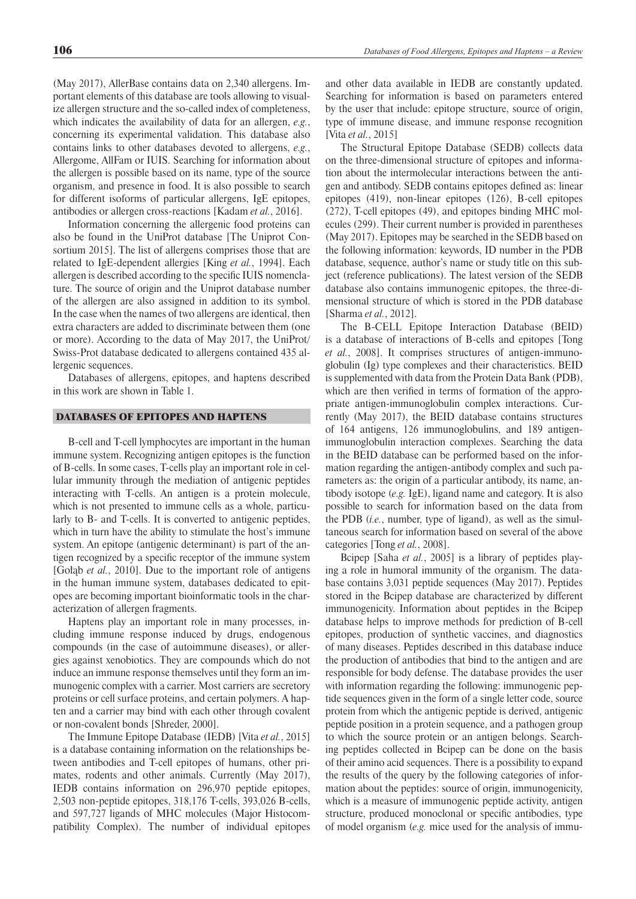(May 2017), AllerBase contains data on 2,340 allergens. Important elements of this database are tools allowing to visualize allergen structure and the so-called index of completeness, which indicates the availability of data for an allergen, *e.g.*, concerning its experimental validation. This database also contains links to other databases devoted to allergens, *e.g.*, Allergome, AllFam or IUIS. Searching for information about the allergen is possible based on its name, type of the source organism, and presence in food. It is also possible to search for different isoforms of particular allergens, IgE epitopes, antibodies or allergen cross-reactions [Kadam *et al.*, 2016].

Information concerning the allergenic food proteins can also be found in the UniProt database [The Uniprot Consortium 2015]. The list of allergens comprises those that are related to IgE-dependent allergies [King *et al.*, 1994]. Each allergen is described according to the specific IUIS nomenclature. The source of origin and the Uniprot database number of the allergen are also assigned in addition to its symbol. In the case when the names of two allergens are identical, then extra characters are added to discriminate between them (one or more). According to the data of May 2017, the UniProt/ Swiss-Prot database dedicated to allergens contained 435 allergenic sequences.

Databases of allergens, epitopes, and haptens described in this work are shown in Table 1.

## DATABASES OF EPITOPES AND HAPTENS

B-cell and T-cell lymphocytes are important in the human immune system. Recognizing antigen epitopes is the function of B-cells. In some cases, T-cells play an important role in cellular immunity through the mediation of antigenic peptides interacting with T-cells. An antigen is a protein molecule, which is not presented to immune cells as a whole, particularly to B- and T-cells. It is converted to antigenic peptides, which in turn have the ability to stimulate the host's immune system. An epitope (antigenic determinant) is part of the antigen recognized by a specific receptor of the immune system [Gołąb *et al.*, 2010]. Due to the important role of antigens in the human immune system, databases dedicated to epitopes are becoming important bioinformatic tools in the characterization of allergen fragments.

Haptens play an important role in many processes, including immune response induced by drugs, endogenous compounds (in the case of autoimmune diseases), or allergies against xenobiotics. They are compounds which do not induce an immune response themselves until they form an immunogenic complex with a carrier. Most carriers are secretory proteins or cell surface proteins, and certain polymers. A hapten and a carrier may bind with each other through covalent or non-covalent bonds [Shreder, 2000].

The Immune Epitope Database (IEDB) [Vita *et al.*, 2015] is a database containing information on the relationships between antibodies and T-cell epitopes of humans, other primates, rodents and other animals. Currently (May 2017), IEDB contains information on 296,970 peptide epitopes, 2,503 non-peptide epitopes, 318,176 T-cells, 393,026 B-cells, and 597,727 ligands of MHC molecules (Major Histocompatibility Complex). The number of individual epitopes and other data available in IEDB are constantly updated. Searching for information is based on parameters entered by the user that include: epitope structure, source of origin, type of immune disease, and immune response recognition [Vita *et al.*, 2015]

The Structural Epitope Database (SEDB) collects data on the three-dimensional structure of epitopes and information about the intermolecular interactions between the antigen and antibody. SEDB contains epitopes defined as: linear epitopes (419), non-linear epitopes (126), B-cell epitopes (272), T-cell epitopes (49), and epitopes binding MHC molecules (299). Their current number is provided in parentheses (May 2017). Epitopes may be searched in the SEDB based on the following information: keywords, ID number in the PDB database, sequence, author's name or study title on this subject (reference publications). The latest version of the SEDB database also contains immunogenic epitopes, the three-dimensional structure of which is stored in the PDB database [Sharma *et al.*, 2012].

The B-CELL Epitope Interaction Database (BEID) is a database of interactions of B-cells and epitopes [Tong *et al.*, 2008]. It comprises structures of antigen-immunoglobulin (Ig) type complexes and their characteristics. BEID is supplemented with data from the Protein Data Bank (PDB), which are then verified in terms of formation of the appropriate antigen-immunoglobulin complex interactions. Currently (May 2017), the BEID database contains structures of 164 antigens, 126 immunoglobulins, and 189 antigenimmunoglobulin interaction complexes. Searching the data in the BEID database can be performed based on the information regarding the antigen-antibody complex and such parameters as: the origin of a particular antibody, its name, antibody isotope (*e.g.* IgE), ligand name and category. It is also possible to search for information based on the data from the PDB (*i.e.*, number, type of ligand), as well as the simultaneous search for information based on several of the above categories [Tong *et al.*, 2008].

Bcipep [Saha *et al.*, 2005] is a library of peptides playing a role in humoral immunity of the organism. The database contains 3,031 peptide sequences (May 2017). Peptides stored in the Bcipep database are characterized by different immunogenicity. Information about peptides in the Bcipep database helps to improve methods for prediction of B-cell epitopes, production of synthetic vaccines, and diagnostics of many diseases. Peptides described in this database induce the production of antibodies that bind to the antigen and are responsible for body defense. The database provides the user with information regarding the following: immunogenic peptide sequences given in the form of a single letter code, source protein from which the antigenic peptide is derived, antigenic peptide position in a protein sequence, and a pathogen group to which the source protein or an antigen belongs. Searching peptides collected in Bcipep can be done on the basis of their amino acid sequences. There is a possibility to expand the results of the query by the following categories of information about the peptides: source of origin, immunogenicity, which is a measure of immunogenic peptide activity, antigen structure, produced monoclonal or specific antibodies, type of model organism (*e.g.* mice used for the analysis of immu-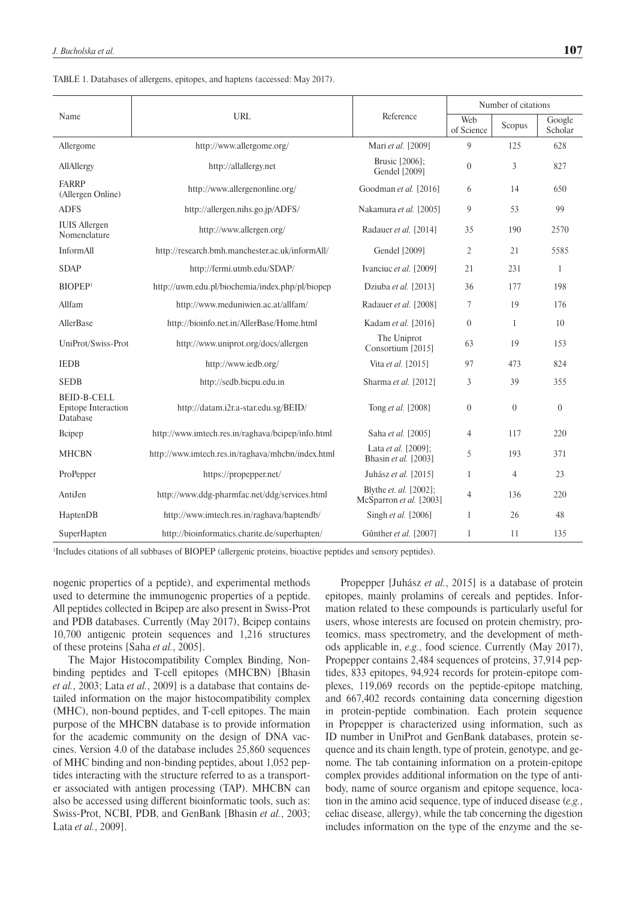|                                                              |                                                          |                                                   | Number of citations |                |                   |  |  |
|--------------------------------------------------------------|----------------------------------------------------------|---------------------------------------------------|---------------------|----------------|-------------------|--|--|
| Name                                                         | <b>URL</b>                                               | Reference                                         | Web<br>of Science   | Scopus         | Google<br>Scholar |  |  |
| Allergome                                                    | http://www.allergome.org/                                | Mari et al. [2009]                                | 9                   | 125            | 628               |  |  |
| AllAllergy                                                   | Brusic [2006];<br>http://allallergy.net<br>Gendel [2009] |                                                   | $\overline{0}$      | 3              | 827               |  |  |
| <b>FARRP</b><br>(Allergen Online)                            | http://www.allergenonline.org/                           | Goodman et al. [2016]                             | 6                   | 14             | 650               |  |  |
| <b>ADFS</b>                                                  | http://allergen.nihs.go.jp/ADFS/                         | Nakamura et al. [2005]                            |                     |                |                   |  |  |
| <b>IUIS</b> Allergen<br>Nomenclature                         | http://www.allergen.org/                                 | Radauer et al. [2014]                             | 35                  | 190            | 2570              |  |  |
| InformAll                                                    | http://research.bmh.manchester.ac.uk/informAll/          | Gendel [2009]                                     | $\overline{2}$      | 21             | 5585              |  |  |
| <b>SDAP</b>                                                  | http://fermi.utmb.edu/SDAP/                              | Ivanciuc et al. [2009]                            | 21                  | 231            | $\mathbf{1}$      |  |  |
| <b>BIOPEP1</b>                                               | http://uwm.edu.pl/biochemia/index.php/pl/biopep          | Dziuba et al. [2013]                              | 36                  | 177            | 198               |  |  |
| Allfam                                                       | http://www.meduniwien.ac.at/allfam/                      | Radauer et al. [2008]                             | $7\phantom{.0}$     | 19             | 176               |  |  |
| <b>AllerBase</b>                                             | http://bioinfo.net.in/AllerBase/Home.html                | Kadam et al. [2016]                               | $\overline{0}$      | $\mathbf{1}$   | 10                |  |  |
| UniProt/Swiss-Prot                                           | http://www.uniprot.org/docs/allergen                     | The Uniprot<br>Consortium [2015]                  | 63                  | 19             | 153               |  |  |
| <b>IEDB</b>                                                  | http://www.iedb.org/                                     | Vita et al. [2015]                                | 97                  | 473            | 824               |  |  |
| <b>SEDB</b>                                                  | http://sedb.bicpu.edu.in                                 | Sharma et al. [2012]                              | 3                   | 39             | 355               |  |  |
| <b>BEID-B-CELL</b><br><b>Epitope Interaction</b><br>Database | http://datam.i2r.a-star.edu.sg/BEID/                     | Tong et al. [2008]                                | $\overline{0}$      | $\overline{0}$ | $\overline{0}$    |  |  |
| Bcipep                                                       | http://www.imtech.res.in/raghava/bcipep/info.html        | Saha et al. [2005]                                | $\overline{4}$      | 117            | 220               |  |  |
| <b>MHCBN</b>                                                 | http://www.imtech.res.in/raghava/mhcbn/index.html        | Lata et al. [2009];<br>Bhasin et al. [2003]       | 5                   | 193            | 371               |  |  |
| ProPepper                                                    | https://propepper.net/                                   | Juhász et al. [2015]                              | $\mathbf{1}$        | $\overline{4}$ | 23                |  |  |
| AntiJen                                                      | http://www.ddg-pharmfac.net/ddg/services.html            | Blythe et. al. [2002];<br>McSparron et al. [2003] | $\overline{4}$      | 136            | 220               |  |  |
| HaptenDB                                                     | http://www.imtech.res.in/raghava/haptendb/               | Singh et al. [2006]                               | 1                   | 26             | 48                |  |  |
| SuperHapten                                                  | http://bioinformatics.charite.de/superhapten/            | Gűnther et al. [2007]                             | 1                   | 11             | 135               |  |  |

TABLE 1. Databases of allergens, epitopes, and haptens (accessed: May 2017).

1 Includes citations of all subbases of BIOPEP (allergenic proteins, bioactive peptides and sensory peptides).

nogenic properties of a peptide), and experimental methods used to determine the immunogenic properties of a peptide. All peptides collected in Bcipep are also present in Swiss-Prot and PDB databases. Currently (May 2017), Bcipep contains 10,700 antigenic protein sequences and 1,216 structures of these proteins [Saha *et al.*, 2005].

The Major Histocompatibility Complex Binding, Nonbinding peptides and T-cell epitopes (MHCBN) [Bhasin *et al.*, 2003; Lata *et al.*, 2009] is a database that contains detailed information on the major histocompatibility complex (MHC), non-bound peptides, and T-cell epitopes. The main purpose of the MHCBN database is to provide information for the academic community on the design of DNA vaccines. Version 4.0 of the database includes 25,860 sequences of MHC binding and non-binding peptides, about 1,052 peptides interacting with the structure referred to as a transporter associated with antigen processing (TAP). MHCBN can also be accessed using different bioinformatic tools, such as: Swiss-Prot, NCBI, PDB, and GenBank [Bhasin *et al.*, 2003; Lata *et al.*, 2009].

Propepper [Juhász *et al.*, 2015] is a database of protein epitopes, mainly prolamins of cereals and peptides. Information related to these compounds is particularly useful for users, whose interests are focused on protein chemistry, proteomics, mass spectrometry, and the development of methods applicable in, *e.g.*, food science. Currently (May 2017), Propepper contains 2,484 sequences of proteins, 37,914 peptides, 833 epitopes, 94,924 records for protein-epitope complexes, 119,069 records on the peptide-epitope matching, and 667,402 records containing data concerning digestion in protein-peptide combination. Each protein sequence in Propepper is characterized using information, such as ID number in UniProt and GenBank databases, protein sequence and its chain length, type of protein, genotype, and genome. The tab containing information on a protein-epitope complex provides additional information on the type of antibody, name of source organism and epitope sequence, location in the amino acid sequence, type of induced disease (*e.g.*, celiac disease, allergy), while the tab concerning the digestion includes information on the type of the enzyme and the se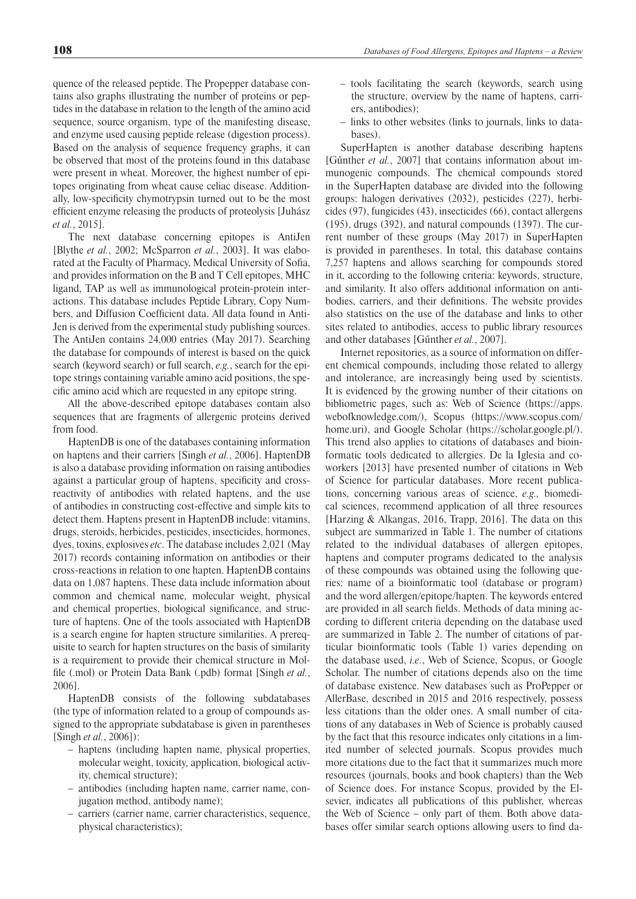quence of the released peptide. The Propepper database contains also graphs illustrating the number of proteins or peptides in the database in relation to the length of the amino acid sequence, source organism, type of the manifesting disease, and enzyme used causing peptide release (digestion process). Based on the analysis of sequence frequency graphs, it can be observed that most of the proteins found in this database were present in wheat. Moreover, the highest number of epitopes originating from wheat cause celiac disease. Additionally, low-specificity chymotrypsin turned out to be the most efficient enzyme releasing the products of proteolysis [Juhász] *et al.*, 2015].

The next database concerning epitopes is AntiJen [Blythe *et al.*, 2002; McSparron *et al.*, 2003]. It was elaborated at the Faculty of Pharmacy, Medical University of Sofia, and provides information on the B and T Cell epitopes, MHC ligand, TAP as well as immunological protein-protein interactions. This database includes Peptide Library, Copy Numbers, and Diffusion Coefficient data. All data found in Anti-Jen is derived from the experimental study publishing sources. The AntiJen contains 24,000 entries (May 2017). Searching the database for compounds of interest is based on the quick search (keyword search) or full search, *e.g.*, search for the epitope strings containing variable amino acid positions, the specific amino acid which are requested in any epitope string.

All the above-described epitope databases contain also sequences that are fragments of allergenic proteins derived from food.

HaptenDB is one of the databases containing information on haptens and their carriers [Singh *et al.*, 2006]. HaptenDB is also a database providing information on raising antibodies against a particular group of haptens, specificity and crossreactivity of antibodies with related haptens, and the use of antibodies in constructing cost-effective and simple kits to detect them. Haptens present in HaptenDB include: vitamins, drugs, steroids, herbicides, pesticides, insecticides, hormones, dyes, toxins, explosives *etc*. The database includes 2,021 (May 2017) records containing information on antibodies or their cross-reactions in relation to one hapten. HaptenDB contains data on 1,087 haptens. These data include information about common and chemical name, molecular weight, physical and chemical properties, biological significance, and structure of haptens. One of the tools associated with HaptenDB is a search engine for hapten structure similarities. A prerequisite to search for hapten structures on the basis of similarity is a requirement to provide their chemical structure in Molfile (.mol) or Protein Data Bank (.pdb) format [Singh *et al.*, 2006].

HaptenDB consists of the following subdatabases (the type of information related to a group of compounds assigned to the appropriate subdatabase is given in parentheses [Singh *et al.*, 2006]):

- haptens (including hapten name, physical properties, molecular weight, toxicity, application, biological activity, chemical structure);
- antibodies (including hapten name, carrier name, conjugation method, antibody name);
- carriers (carrier name, carrier characteristics, sequence, physical characteristics);
- tools facilitating the search (keywords, search using the structure, overview by the name of haptens, carriers, antibodies);
- links to other websites (links to journals, links to databases).

SuperHapten is another database describing haptens [Gűnther *et al.*, 2007] that contains information about immunogenic compounds. The chemical compounds stored in the SuperHapten database are divided into the following groups: halogen derivatives (2032), pesticides (227), herbicides (97), fungicides (43), insecticides (66), contact allergens (195), drugs (392), and natural compounds (1397). The current number of these groups (May 2017) in SuperHapten is provided in parentheses. In total, this database contains 7,257 haptens and allows searching for compounds stored in it, according to the following criteria: keywords, structure, and similarity. It also offers additional information on antibodies, carriers, and their definitions. The website provides also statistics on the use of the database and links to other sites related to antibodies, access to public library resources and other databases [Gűnther *et al.*, 2007].

Internet repositories, as a source of information on different chemical compounds, including those related to allergy and intolerance, are increasingly being used by scientists. It is evidenced by the growing number of their citations on bibliometric pages, such as: Web of Science (https://apps. webofknowledge.com/), Scopus (https://www.scopus.com/ home.uri), and Google Scholar (https://scholar.google.pl/). This trend also applies to citations of databases and bioinformatic tools dedicated to allergies. De la Iglesia and coworkers [2013] have presented number of citations in Web of Science for particular databases. More recent publications, concerning various areas of science, *e.g.,* biomedical sciences, recommend application of all three resources [Harzing & Alkangas, 2016, Trapp, 2016]. The data on this subject are summarized in Table 1. The number of citations related to the individual databases of allergen epitopes, haptens and computer programs dedicated to the analysis of these compounds was obtained using the following queries: name of a bioinformatic tool (database or program) and the word allergen/epitope/hapten. The keywords entered are provided in all search fields. Methods of data mining according to different criteria depending on the database used are summarized in Table 2. The number of citations of particular bioinformatic tools (Table 1) varies depending on the database used, *i.e.*, Web of Science, Scopus, or Google Scholar. The number of citations depends also on the time of database existence. New databases such as ProPepper or AllerBase, described in 2015 and 2016 respectively, possess less citations than the older ones. A small number of citations of any databases in Web of Science is probably caused by the fact that this resource indicates only citations in a limited number of selected journals. Scopus provides much more citations due to the fact that it summarizes much more resources (journals, books and book chapters) than the Web of Science does. For instance Scopus, provided by the Elsevier, indicates all publications of this publisher, whereas the Web of Science – only part of them. Both above databases offer similar search options allowing users to find da-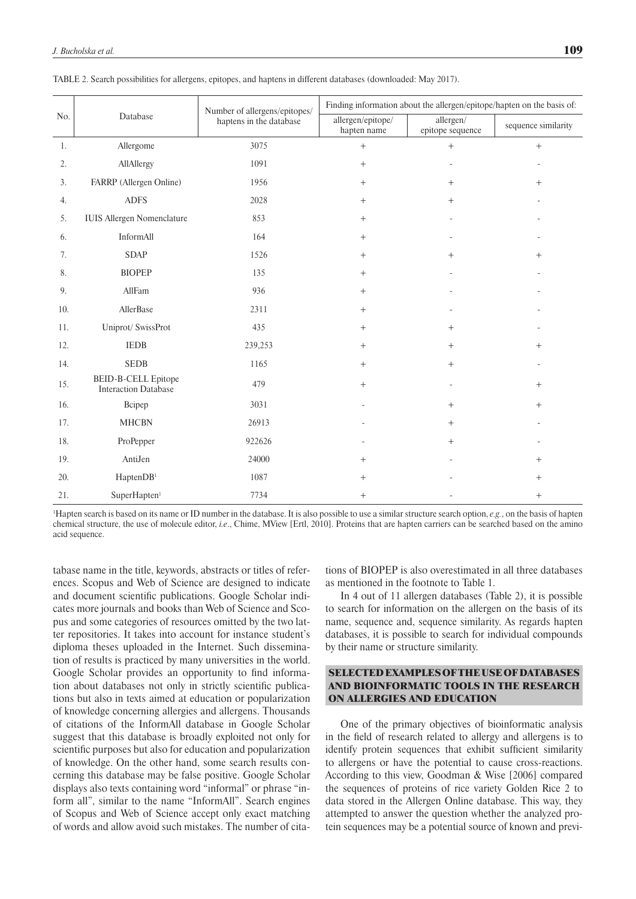|     |                                                           | Number of allergens/epitopes/ | Finding information about the allergen/epitope/hapten on the basis of: |                               |                     |  |  |  |  |
|-----|-----------------------------------------------------------|-------------------------------|------------------------------------------------------------------------|-------------------------------|---------------------|--|--|--|--|
| No. | Database                                                  | haptens in the database       | allergen/epitope/<br>hapten name                                       | allergen/<br>epitope sequence | sequence similarity |  |  |  |  |
| 1.  | Allergome                                                 | 3075                          | $+$                                                                    | $+$                           | $^{+}$              |  |  |  |  |
| 2.  | AllAllergy                                                | 1091                          | $+$                                                                    |                               |                     |  |  |  |  |
| 3.  | FARRP (Allergen Online)                                   | 1956                          | $\qquad \qquad +$                                                      | $^{+}$                        | $^{+}$              |  |  |  |  |
| 4.  | <b>ADFS</b>                                               | 2028                          | $+$                                                                    | $^{+}$                        |                     |  |  |  |  |
| 5.  | <b>IUIS Allergen Nomenclature</b>                         | 853                           | $+$                                                                    |                               |                     |  |  |  |  |
| 6.  | InformAll                                                 | 164                           | $+$                                                                    |                               |                     |  |  |  |  |
| 7.  | <b>SDAP</b>                                               | 1526                          | $+$                                                                    | $^{+}$                        | $^+$                |  |  |  |  |
| 8.  | <b>BIOPEP</b>                                             | 135                           | $+$                                                                    |                               |                     |  |  |  |  |
| 9.  | AllFam                                                    | 936                           | $+$                                                                    |                               |                     |  |  |  |  |
| 10. | AllerBase                                                 | 2311                          | $+$                                                                    |                               |                     |  |  |  |  |
| 11. | Uniprot/ SwissProt                                        | 435                           | $+$                                                                    | $^{+}$                        |                     |  |  |  |  |
| 12. | <b>IEDB</b>                                               | 239,253                       | $^{+}$                                                                 | $^{+}$                        | $^{+}$              |  |  |  |  |
| 14. | <b>SEDB</b>                                               | 1165                          | $^{+}$                                                                 | $^{+}$                        |                     |  |  |  |  |
| 15. | <b>BEID-B-CELL Epitope</b><br><b>Interaction Database</b> | 479                           | $+$                                                                    |                               | $^{+}$              |  |  |  |  |
| 16. | Bcipep                                                    | 3031                          |                                                                        | $^{+}$                        | $^{+}$              |  |  |  |  |
| 17. | <b>MHCBN</b>                                              | 26913                         |                                                                        | $+$                           |                     |  |  |  |  |
| 18. | ProPepper                                                 | 922626                        |                                                                        | $^{+}$                        |                     |  |  |  |  |
| 19. | AntiJen                                                   | 24000                         | $+$                                                                    |                               | $^{+}$              |  |  |  |  |
| 20. | HaptenDB <sup>1</sup>                                     | 1087                          | $+$                                                                    |                               | $^{+}$              |  |  |  |  |
| 21. | SuperHapten <sup>1</sup>                                  | 7734                          | $^{+}$                                                                 |                               | $^+$                |  |  |  |  |

| TABLE 2. Search possibilities for allergens, epitopes, and haptens in different databases (downloaded: May 2017). |  |  |  |  |  |  |
|-------------------------------------------------------------------------------------------------------------------|--|--|--|--|--|--|
|                                                                                                                   |  |  |  |  |  |  |

1 Hapten search is based on its name or ID number in the database. It is also possible to use a similar structure search option, *e.g.*, on the basis of hapten chemical structure, the use of molecule editor, *i.e*., Chime, MView [Ertl, 2010]. Proteins that are hapten carriers can be searched based on the amino acid sequence.

tabase name in the title, keywords, abstracts or titles of references. Scopus and Web of Science are designed to indicate and document scientific publications. Google Scholar indicates more journals and books than Web of Science and Scopus and some categories of resources omitted by the two latter repositories. It takes into account for instance student's diploma theses uploaded in the Internet. Such dissemination of results is practiced by many universities in the world. Google Scholar provides an opportunity to find information about databases not only in strictly scientific publications but also in texts aimed at education or popularization of knowledge concerning allergies and allergens. Thousands of citations of the InformAll database in Google Scholar suggest that this database is broadly exploited not only for scientific purposes but also for education and popularization of knowledge. On the other hand, some search results concerning this database may be false positive. Google Scholar displays also texts containing word "informal" or phrase "inform all", similar to the name "InformAll". Search engines of Scopus and Web of Science accept only exact matching of words and allow avoid such mistakes. The number of cita-

tions of BIOPEP is also overestimated in all three databases as mentioned in the footnote to Table 1.

In 4 out of 11 allergen databases (Table 2), it is possible to search for information on the allergen on the basis of its name, sequence and, sequence similarity. As regards hapten databases, it is possible to search for individual compounds by their name or structure similarity.

## SELECTED EXAMPLES OF THE USE OF DATABASES AND BIOINFORMATIC TOOLS IN THE RESEARCH ON ALLERGIES AND EDUCATION

One of the primary objectives of bioinformatic analysis in the field of research related to allergy and allergens is to identify protein sequences that exhibit sufficient similarity to allergens or have the potential to cause cross-reactions. According to this view, Goodman & Wise [2006] compared the sequences of proteins of rice variety Golden Rice 2 to data stored in the Allergen Online database. This way, they attempted to answer the question whether the analyzed protein sequences may be a potential source of known and previ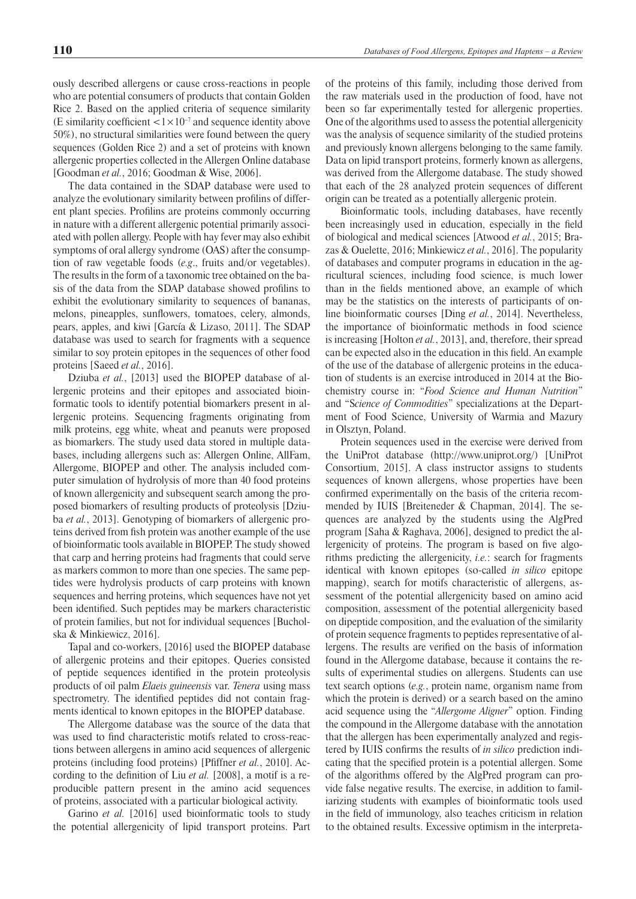ously described allergens or cause cross-reactions in people who are potential consumers of products that contain Golden Rice 2. Based on the applied criteria of sequence similarity (E similarity coefficient  $\langle 1 \times 10^{-7}$  and sequence identity above 50%), no structural similarities were found between the query sequences (Golden Rice 2) and a set of proteins with known allergenic properties collected in the Allergen Online database [Goodman *et al.*, 2016; Goodman & Wise, 2006].

The data contained in the SDAP database were used to analyze the evolutionary similarity between profilins of different plant species. Profilins are proteins commonly occurring in nature with a different allergenic potential primarily associated with pollen allergy. People with hay fever may also exhibit symptoms of oral allergy syndrome (OAS) after the consumption of raw vegetable foods (*e.g*., fruits and/or vegetables). The results in the form of a taxonomic tree obtained on the basis of the data from the SDAP database showed profilins to exhibit the evolutionary similarity to sequences of bananas, melons, pineapples, sunflowers, tomatoes, celery, almonds, pears, apples, and kiwi [García & Lizaso, 2011]. The SDAP database was used to search for fragments with a sequence similar to soy protein epitopes in the sequences of other food proteins [Saeed *et al.*, 2016].

Dziuba *et al.*, [2013] used the BIOPEP database of allergenic proteins and their epitopes and associated bioinformatic tools to identify potential biomarkers present in allergenic proteins. Sequencing fragments originating from milk proteins, egg white, wheat and peanuts were proposed as biomarkers. The study used data stored in multiple databases, including allergens such as: Allergen Online, AllFam, Allergome, BIOPEP and other. The analysis included computer simulation of hydrolysis of more than 40 food proteins of known allergenicity and subsequent search among the proposed biomarkers of resulting products of proteolysis [Dziuba *et al.*, 2013]. Genotyping of biomarkers of allergenic proteins derived from fish protein was another example of the use of bioinformatic tools available in BIOPEP. The study showed that carp and herring proteins had fragments that could serve as markers common to more than one species. The same peptides were hydrolysis products of carp proteins with known sequences and herring proteins, which sequences have not yet been identified. Such peptides may be markers characteristic of protein families, but not for individual sequences [Bucholska & Minkiewicz, 2016].

Tapal and co-workers, [2016] used the BIOPEP database of allergenic proteins and their epitopes. Queries consisted of peptide sequences identified in the protein proteolysis products of oil palm *Elaeis guineensis* var. *Tenera* using mass spectrometry. The identified peptides did not contain fragments identical to known epitopes in the BIOPEP database.

The Allergome database was the source of the data that was used to find characteristic motifs related to cross-reactions between allergens in amino acid sequences of allergenic proteins (including food proteins) [Pfiffner *et al.*, 2010]. According to the definition of Liu *et al.* [2008], a motif is a reproducible pattern present in the amino acid sequences of proteins, associated with a particular biological activity.

Garino *et al.* [2016] used bioinformatic tools to study the potential allergenicity of lipid transport proteins. Part of the proteins of this family, including those derived from the raw materials used in the production of food, have not been so far experimentally tested for allergenic properties. One of the algorithms used to assess the potential allergenicity was the analysis of sequence similarity of the studied proteins and previously known allergens belonging to the same family. Data on lipid transport proteins, formerly known as allergens, was derived from the Allergome database. The study showed that each of the 28 analyzed protein sequences of different origin can be treated as a potentially allergenic protein.

Bioinformatic tools, including databases, have recently been increasingly used in education, especially in the field of biological and medical sciences [Atwood *et al.*, 2015; Brazas & Ouelette, 2016; Minkiewicz *et al.*, 2016]. The popularity of databases and computer programs in education in the agricultural sciences, including food science, is much lower than in the fields mentioned above, an example of which may be the statistics on the interests of participants of online bioinformatic courses [Ding *et al.*, 2014]. Nevertheless, the importance of bioinformatic methods in food science is increasing [Holton *et al.*, 2013], and, therefore, their spread can be expected also in the education in this field. An example of the use of the database of allergenic proteins in the education of students is an exercise introduced in 2014 at the Biochemistry course in: "*Food Science and Human Nutrition*" and "S*cience of Commodities*" specializations at the Department of Food Science, University of Warmia and Mazury in Olsztyn, Poland.

Protein sequences used in the exercise were derived from the UniProt database (http://www.uniprot.org/) [UniProt Consortium, 2015]. A class instructor assigns to students sequences of known allergens, whose properties have been confirmed experimentally on the basis of the criteria recommended by IUIS [Breiteneder & Chapman, 2014]. The sequences are analyzed by the students using the AlgPred program [Saha & Raghava, 2006], designed to predict the allergenicity of proteins. The program is based on five algorithms predicting the allergenicity, *i.e.*: search for fragments identical with known epitopes (so-called *in silico* epitope mapping), search for motifs characteristic of allergens, assessment of the potential allergenicity based on amino acid composition, assessment of the potential allergenicity based on dipeptide composition, and the evaluation of the similarity of protein sequence fragments to peptides representative of allergens. The results are verified on the basis of information found in the Allergome database, because it contains the results of experimental studies on allergens. Students can use text search options (*e.g.*, protein name, organism name from which the protein is derived) or a search based on the amino acid sequence using the "*Allergome Aligner*" option. Finding the compound in the Allergome database with the annotation that the allergen has been experimentally analyzed and registered by IUIS confirms the results of *in silico* prediction indicating that the specified protein is a potential allergen. Some of the algorithms offered by the AlgPred program can provide false negative results. The exercise, in addition to familiarizing students with examples of bioinformatic tools used in the field of immunology, also teaches criticism in relation to the obtained results. Excessive optimism in the interpreta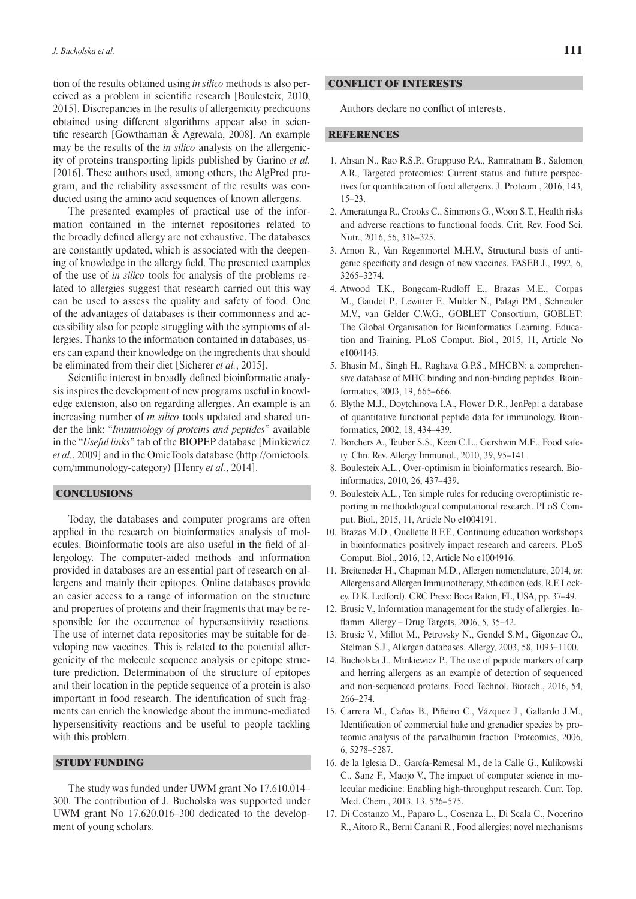tion of the results obtained using *in silico* methods is also perceived as a problem in scientific research [Boulesteix, 2010, 2015]. Discrepancies in the results of allergenicity predictions obtained using different algorithms appear also in scientific research [Gowthaman & Agrewala, 2008]. An example may be the results of the *in silico* analysis on the allergenicity of proteins transporting lipids published by Garino *et al.* [2016]. These authors used, among others, the AlgPred program, and the reliability assessment of the results was conducted using the amino acid sequences of known allergens.

The presented examples of practical use of the information contained in the internet repositories related to the broadly defined allergy are not exhaustive. The databases are constantly updated, which is associated with the deepening of knowledge in the allergy field. The presented examples of the use of *in silico* tools for analysis of the problems related to allergies suggest that research carried out this way can be used to assess the quality and safety of food. One of the advantages of databases is their commonness and accessibility also for people struggling with the symptoms of allergies. Thanks to the information contained in databases, users can expand their knowledge on the ingredients that should be eliminated from their diet [Sicherer *et al.*, 2015].

Scientific interest in broadly defined bioinformatic analysis inspires the development of new programs useful in knowledge extension, also on regarding allergies. An example is an increasing number of *in silico* tools updated and shared under the link: "*Immunology of proteins and peptides*" available in the "*Useful links*" tab of the BIOPEP database [Minkiewicz *et al.*, 2009] and in the OmicTools database (http://omictools. com/immunology-category) [Henry *et al.*, 2014].

### **CONCLUSIONS**

Today, the databases and computer programs are often applied in the research on bioinformatics analysis of molecules. Bioinformatic tools are also useful in the field of allergology. The computer-aided methods and information provided in databases are an essential part of research on allergens and mainly their epitopes. Online databases provide an easier access to a range of information on the structure and properties of proteins and their fragments that may be responsible for the occurrence of hypersensitivity reactions. The use of internet data repositories may be suitable for developing new vaccines. This is related to the potential allergenicity of the molecule sequence analysis or epitope structure prediction. Determination of the structure of epitopes and their location in the peptide sequence of a protein is also important in food research. The identification of such fragments can enrich the knowledge about the immune-mediated hypersensitivity reactions and be useful to people tackling with this problem.

### STUDY FUNDING

The study was funded under UWM grant No 17.610.014– 300. The contribution of J. Bucholska was supported under UWM grant No 17.620.016–300 dedicated to the development of young scholars.

#### CONFLICT OF INTERESTS

Authors declare no conflict of interests.

## **REFERENCES**

- 1. Ahsan N., Rao R.S.P., Gruppuso P.A., Ramratnam B., Salomon A.R., Targeted proteomics: Current status and future perspectives for quantification of food allergens. J. Proteom., 2016, 143, 15–23.
- 2. Ameratunga R., Crooks C., Simmons G., Woon S.T., Health risks and adverse reactions to functional foods. Crit. Rev. Food Sci. Nutr., 2016, 56, 318–325.
- 3. Arnon R., Van Regenmortel M.H.V., Structural basis of antigenic specificity and design of new vaccines. FASEB J., 1992, 6, 3265–3274.
- 4. Atwood T.K., Bongcam-Rudloff E., Brazas M.E., Corpas M., Gaudet P., Lewitter F., Mulder N., Palagi P.M., Schneider M.V., van Gelder C.W.G., GOBLET Consortium, GOBLET: The Global Organisation for Bioinformatics Learning. Education and Training. PLoS Comput. Biol., 2015, 11, Article No e1004143.
- 5. Bhasin M., Singh H., Raghava G.P.S., MHCBN: a comprehensive database of MHC binding and non-binding peptides. Bioinformatics, 2003, 19, 665–666.
- 6. Blythe M.J., Doytchinova I.A., Flower D.R., JenPep: a database of quantitative functional peptide data for immunology. Bioinformatics, 2002, 18, 434–439.
- 7. Borchers A., Teuber S.S., Keen C.L., Gershwin M.E., Food safety. Clin. Rev. Allergy Immunol., 2010, 39, 95–141.
- 8. Boulesteix A.L., Over-optimism in bioinformatics research. Bioinformatics, 2010, 26, 437–439.
- 9. Boulesteix A.L., Ten simple rules for reducing overoptimistic reporting in methodological computational research. PLoS Comput. Biol., 2015, 11, Article No e1004191.
- 10. Brazas M.D., Ouellette B.F.F., Continuing education workshops in bioinformatics positively impact research and careers. PLoS Comput. Biol., 2016, 12, Article No e1004916.
- 11. Breiteneder H., Chapman M.D., Allergen nomenclature, 2014, *in*: Allergens and Allergen Immunotherapy, 5th edition (eds. R.F. Lockey, D.K. Ledford). CRC Press: Boca Raton, FL, USA, pp. 37–49.
- 12. Brusic V., Information management for the study of allergies. Inflamm. Allergy – Drug Targets,  $2006$ , 5, 35–42.
- 13. Brusic V., Millot M., Petrovsky N., Gendel S.M., Gigonzac O., Stelman S.J., Allergen databases. Allergy, 2003, 58, 1093–1100.
- 14. Bucholska J., Minkiewicz P., The use of peptide markers of carp and herring allergens as an example of detection of sequenced and non-sequenced proteins. Food Technol. Biotech., 2016, 54, 266–274.
- 15. Carrera M., Cañas B., Piñeiro C., Vázquez J., Gallardo J.M., Identification of commercial hake and grenadier species by proteomic analysis of the parvalbumin fraction. Proteomics, 2006, 6, 5278–5287.
- 16. de la Iglesia D., García-Remesal M., de la Calle G., Kulikowski C., Sanz F., Maojo V., The impact of computer science in molecular medicine: Enabling high-throughput research. Curr. Top. Med. Chem., 2013, 13, 526–575.
- 17. Di Costanzo M., Paparo L., Cosenza L., Di Scala C., Nocerino R., Aitoro R., Berni Canani R., Food allergies: novel mechanisms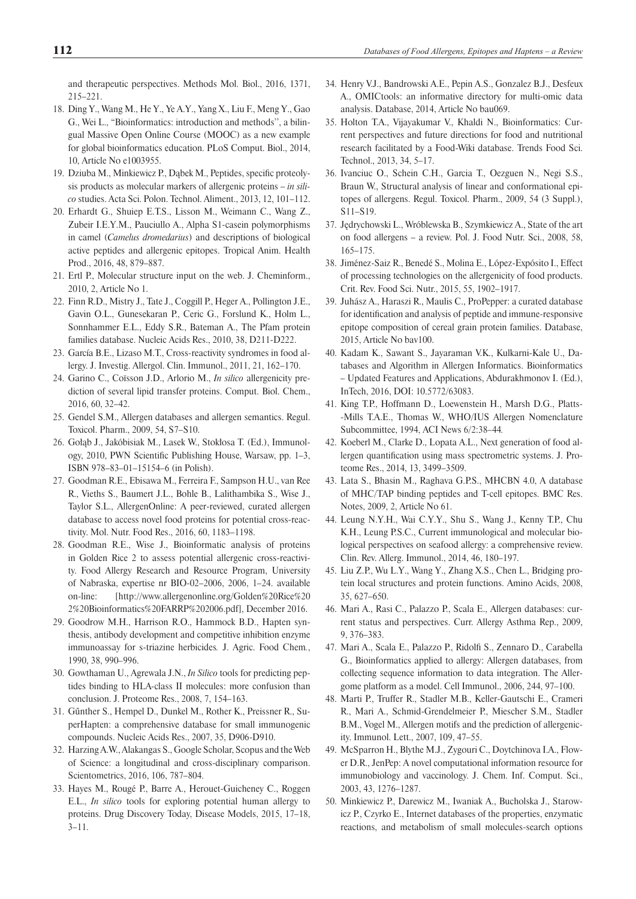and therapeutic perspectives. Methods Mol. Biol., 2016, 1371, 215–221.

- 18. Ding Y., Wang M., He Y., Ye A.Y., Yang X., Liu F., Meng Y., Gao G., Wei L., "Bioinformatics: introduction and methods'', a bilingual Massive Open Online Course (MOOC) as a new example for global bioinformatics education. PLoS Comput. Biol., 2014, 10, Article No e1003955.
- 19. Dziuba M., Minkiewicz P., Dąbek M., Peptides, specific proteolysis products as molecular markers of allergenic proteins – *in silico* studies. Acta Sci. Polon. Technol. Aliment., 2013, 12, 101–112.
- 20. Erhardt G., Shuiep E.T.S., Lisson M., Weimann C., Wang Z., Zubeir I.E.Y.M., Pauciullo A., Alpha S1-casein polymorphisms in camel (*Camelus dromedarius*) and descriptions of biological active peptides and allergenic epitopes. Tropical Anim. Health Prod., 2016, 48, 879–887.
- 21. Ertl P., Molecular structure input on the web. J. Cheminform., 2010, 2, Article No 1.
- 22. Finn R.D., Mistry J., Tate J., Coggill P., Heger A., Pollington J.E., Gavin O.L., Gunesekaran P., Ceric G., Forslund K., Holm L., Sonnhammer E.L., Eddy S.R., Bateman A., The Pfam protein families database. Nucleic Acids Res., 2010, 38, D211-D222.
- 23. García B.E., Lizaso M.T., Cross-reactivity syndromes in food allergy. J. Investig. Allergol. Clin. Immunol., 2011, 21, 162–170.
- 24. Garino C., Coïsson J.D., Arlorio M., *In silico* allergenicity prediction of several lipid transfer proteins. Comput. Biol. Chem., 2016, 60, 32–42.
- 25. Gendel S.M., Allergen databases and allergen semantics. Regul. Toxicol. Pharm., 2009, 54, S7–S10.
- 26. Gołąb J., Jakóbisiak M., Lasek W., Stokłosa T. (Ed.), Immunology, 2010, PWN Scientific Publishing House, Warsaw, pp. 1–3, ISBN 978–83–01–15154–6 (in Polish).
- 27. Goodman R.E., Ebisawa M., Ferreira F., Sampson H.U., van Ree R., Vieths S., Baumert J.L., Bohle B., Lalithambika S., Wise J., Taylor S.L., AllergenOnline: A peer-reviewed, curated allergen database to access novel food proteins for potential cross-reactivity. Mol. Nutr. Food Res., 2016, 60, 1183–1198.
- 28. Goodman R.E., Wise J., Bioinformatic analysis of proteins in Golden Rice 2 to assess potential allergenic cross-reactivity. Food Allergy Research and Resource Program, University of Nabraska, expertise nr BIO-02–2006, 2006, 1–24. available on-line: [http://www.allergenonline.org/Golden%20Rice%20 2%20Bioinformatics%20FARRP%202006.pdf], December 2016.
- 29. Goodrow M.H., Harrison R.O., Hammock B.D., Hapten synthesis, antibody development and competitive inhibition enzyme immunoassay for s-triazine herbicides*.* J. Agric. Food Chem*.*, 1990, 38, 990*–*996.
- 30. Gowthaman U., Agrewala J.N., *In Silico* tools for predicting peptides binding to HLA-class II molecules: more confusion than conclusion. J. Proteome Res., 2008, 7, 154–163.
- 31. Gűnther S., Hempel D., Dunkel M., Rother K., Preissner R., SuperHapten: a comprehensive database for small immunogenic compounds. Nucleic Acids Res., 2007, 35, D906-D910.
- 32. Harzing A.W., Alakangas S., Google Scholar, Scopus and the Web of Science: a longitudinal and cross-disciplinary comparison. Scientometrics, 2016, 106, 787–804.
- 33. Hayes M., Rougé P., Barre A., Herouet-Guicheney C., Roggen E.L., *In silico* tools for exploring potential human allergy to proteins. Drug Discovery Today, Disease Models, 2015, 17–18, 3–11.
- 34. Henry V.J., Bandrowski A.E., Pepin A.S., Gonzalez B.J., Desfeux A., OMICtools: an informative directory for multi-omic data analysis. Database, 2014, Article No bau069.
- 35. Holton T.A., Vijayakumar V., Khaldi N., Bioinformatics: Current perspectives and future directions for food and nutritional research facilitated by a Food-Wiki database. Trends Food Sci. Technol., 2013, 34, 5–17.
- 36. Ivanciuc O., Schein C.H., Garcia T., Oezguen N., Negi S.S., Braun W., Structural analysis of linear and conformational epitopes of allergens. Regul. Toxicol. Pharm., 2009, 54 (3 Suppl.), S11–S19.
- 37. Jędrychowski L., Wróblewska B., Szymkiewicz A., State of the art on food allergens – a review. Pol. J. Food Nutr. Sci., 2008, 58, 165–175.
- 38. Jiménez-Saiz R., Benedé S., Molina E., López-Expósito I., Effect of processing technologies on the allergenicity of food products. Crit. Rev. Food Sci. Nutr., 2015, 55, 1902–1917.
- 39. Juhász A., Haraszi R., Maulis C., ProPepper: a curated database for identification and analysis of peptide and immune-responsive epitope composition of cereal grain protein families. Database, 2015, Article No bav100.
- 40. Kadam K., Sawant S., Jayaraman V.K., Kulkarni-Kale U., Databases and Algorithm in Allergen Informatics. Bioinformatics – Updated Features and Applications, Abdurakhmonov I. (Ed.), InTech, 2016, DOI: 10.5772/63083.
- 41. King T.P., Hoffmann D., Loewenstein H., Marsh D.G., Platts- -Mills T.A.E., Thomas W., WHO/IUS Allergen Nomenclature Subcommittee, 1994, ACI News 6/2:38–44*.*
- 42. Koeberl M., Clarke D., Lopata A.L., Next generation of food allergen quantification using mass spectrometric systems. J. Proteome Res., 2014, 13, 3499–3509.
- 43. Lata S., Bhasin M., Raghava G.P.S., MHCBN 4.0, A database of MHC/TAP binding peptides and T-cell epitopes. BMC Res. Notes, 2009, 2, Article No 61.
- 44. Leung N.Y.H., Wai C.Y.Y., Shu S., Wang J., Kenny T.P., Chu K.H., Leung P.S.C., Current immunological and molecular biological perspectives on seafood allergy: a comprehensive review. Clin. Rev. Allerg. Immunol., 2014, 46, 180–197.
- 45. Liu Z.P., Wu L.Y., Wang Y., Zhang X.S., Chen L., Bridging protein local structures and protein functions. Amino Acids, 2008, 35, 627–650.
- 46. Mari A., Rasi C., Palazzo P., Scala E., Allergen databases: current status and perspectives. Curr. Allergy Asthma Rep., 2009, 9, 376–383.
- 47. Mari A., Scala E., Palazzo P., Ridolfi S., Zennaro D., Carabella G., Bioinformatics applied to allergy: Allergen databases, from collecting sequence information to data integration. The Allergome platform as a model. Cell Immunol., 2006, 244, 97–100.
- 48. Marti P., Truffer R., Stadler M.B., Keller-Gautschi E., Crameri R., Mari A., Schmid-Grendelmeier P., Miescher S.M., Stadler B.M., Vogel M., Allergen motifs and the prediction of allergenicity. Immunol. Lett., 2007, 109, 47–55.
- 49. McSparron H., Blythe M.J., Zygouri C., Doytchinova I.A., Flower D.R., JenPep: A novel computational information resource for immunobiology and vaccinology. J. Chem. Inf. Comput. Sci., 2003, 43, 1276–1287.
- 50. Minkiewicz P., Darewicz M., Iwaniak A., Bucholska J., Starowicz P., Czyrko E., Internet databases of the properties, enzymatic reactions, and metabolism of small molecules-search options